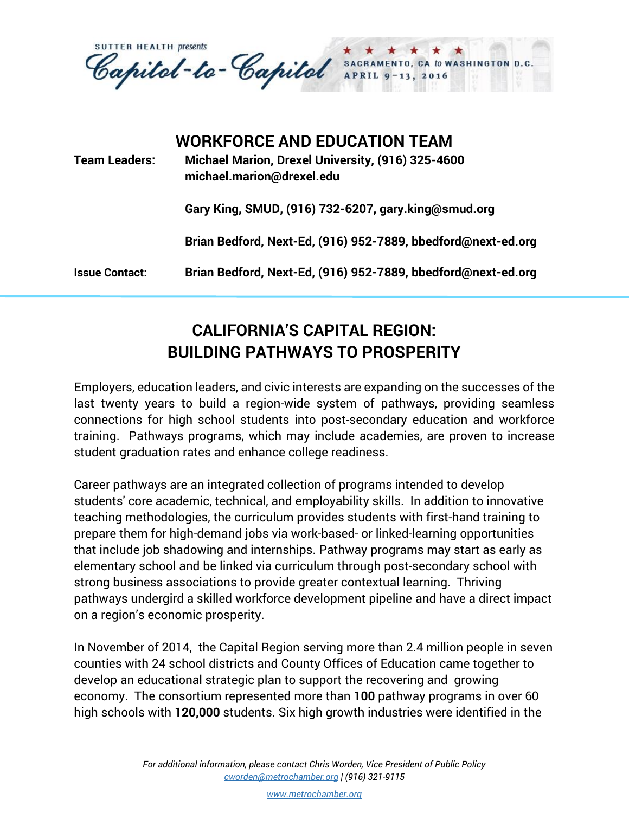**SUTTER HEALTH presents** Capital-to-Capital SACRAMENT<br>APRIL 9-1 CA to WASHINGTON D.C. 13, 2016

| <b>Team Leaders:</b>  | <b>WORKFORCE AND EDUCATION TEAM</b><br>Michael Marion, Drexel University, (916) 325-4600<br>michael.marion@drexel.edu |
|-----------------------|-----------------------------------------------------------------------------------------------------------------------|
|                       | Gary King, SMUD, (916) 732-6207, gary.king@smud.org                                                                   |
|                       | Brian Bedford, Next-Ed, (916) 952-7889, bbedford@next-ed.org                                                          |
| <b>Issue Contact:</b> | Brian Bedford, Next-Ed, (916) 952-7889, bbedford@next-ed.org                                                          |

## **CALIFORNIA'S CAPITAL REGION: BUILDING PATHWAYS TO PROSPERITY**

Employers, education leaders, and civic interests are expanding on the successes of the last twenty years to build a region-wide system of pathways, providing seamless connections for high school students into post-secondary education and workforce training. Pathways programs, which may include academies, are proven to increase student graduation rates and enhance college readiness.

Career pathways are an integrated collection of programs intended to develop students' core academic, technical, and employability skills. In addition to innovative teaching methodologies, the curriculum provides students with first-hand training to prepare them for high-demand jobs via work-based- or linked-learning opportunities that include job shadowing and internships. Pathway programs may start as early as elementary school and be linked via curriculum through post-secondary school with strong business associations to provide greater contextual learning. Thriving pathways undergird a skilled workforce development pipeline and have a direct impact on a region's economic prosperity.

In November of 2014, the Capital Region serving more than 2.4 million people in seven counties with 24 school districts and County Offices of Education came together to develop an educational strategic plan to support the recovering and growing economy. The consortium represented more than **100** pathway programs in over 60 high schools with **120,000** students. Six high growth industries were identified in the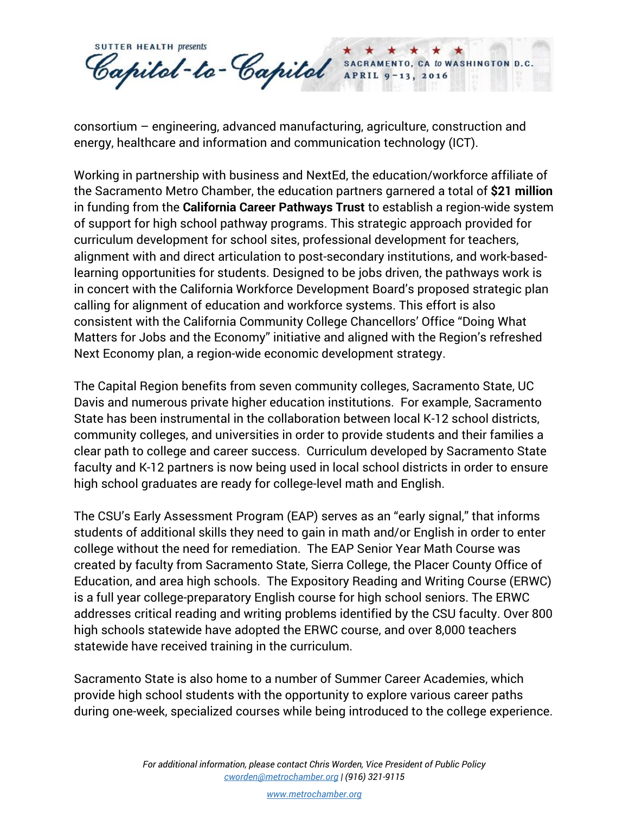**SUTTER HEALTH presents** Capital-to-Capital SACRAMENTO, CA to WASHINGTON D.C. APRIL<sub>9</sub> 13, 2016

consortium – engineering, advanced manufacturing, agriculture, construction and energy, healthcare and information and communication technology (ICT).

Working in partnership with business and NextEd, the education/workforce affiliate of the Sacramento Metro Chamber, the education partners garnered a total of **\$21 million** in funding from the **California Career Pathways Trust** to establish a region-wide system of support for high school pathway programs. This strategic approach provided for curriculum development for school sites, professional development for teachers, alignment with and direct articulation to post-secondary institutions, and work-basedlearning opportunities for students. Designed to be jobs driven, the pathways work is in concert with the California Workforce Development Board's proposed strategic plan calling for alignment of education and workforce systems. This effort is also consistent with the California Community College Chancellors' Office "Doing What Matters for Jobs and the Economy" initiative and aligned with the Region's refreshed Next Economy plan, a region-wide economic development strategy.

The Capital Region benefits from seven community colleges, Sacramento State, UC Davis and numerous private higher education institutions. For example, Sacramento State has been instrumental in the collaboration between local K-12 school districts, community colleges, and universities in order to provide students and their families a clear path to college and career success. Curriculum developed by Sacramento State faculty and K-12 partners is now being used in local school districts in order to ensure high school graduates are ready for college-level math and English.

The CSU's Early Assessment Program (EAP) serves as an "early signal," that informs students of additional skills they need to gain in math and/or English in order to enter college without the need for remediation. The EAP Senior Year Math Course was created by faculty from Sacramento State, Sierra College, the Placer County Office of Education, and area high schools. The Expository Reading and Writing Course (ERWC) is a full year college-preparatory English course for high school seniors. The ERWC addresses critical reading and writing problems identified by the CSU faculty. Over 800 high schools statewide have adopted the ERWC course, and over 8,000 teachers statewide have received training in the curriculum.

Sacramento State is also home to a number of Summer Career Academies, which provide high school students with the opportunity to explore various career paths during one-week, specialized courses while being introduced to the college experience.